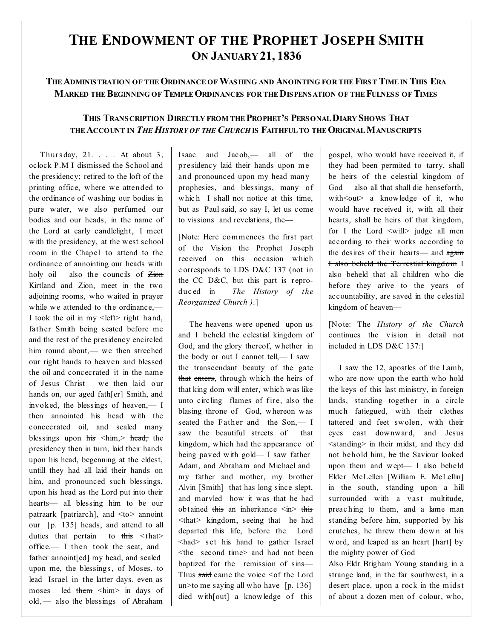## **THE ENDOWMENT OF THE PROPHET JOSEPH SMITH ON JANUARY 21, 1836**

## **THEADMINISTRATION OF THEORDINANCE OFWASHING AND ANOINTING FOR THEFIRST TIME IN THIS ERA MARKED THEBEGINNING OFTEMPLEORDINANCES FOR THEDISPENSATION OF THEFULNESS OFTIMES**

## **THIS TRANSCRIPTION DIRECTLY FROM THEPROPHET'S PERSONALDIARY SHOWS THAT THEACCOUNT IN** *THE HISTORY OF THE CHURCH* **IS FAITHFUL TO THEORIGINALMANUSCRIPTS**

Thurs day, 21. . . . At about 3, oclock P.M I dismissed the School and the presidency; retired to the loft of the printing office, where we attended to the ordinance of washing our bodies in pure water, we also perfumed our bodies and our heads, in the name of the Lord at early candlelight, I meet with the presidency, at the west school room in the Chapel to attend to the ordinance of annointing our heads with holy oil— also the councils of  $\overline{\mathsf{Zion}}$ Kirtland and Zion, meet in the two adjoining rooms, who waited in prayer while we attended to the ordinance,— I took the oil in my  $\leq$  left $>$  right hand, father Smith being seated before me and the rest of the presidency encircled him round about,— we then streched our right hands to heaven and blessed the oil and concecrated it in the name of Jesus Christ— we then laid our hands on, our aged fath[er] Smith, and invoked, the blessings of heaven,— I then annointed his head with the concecrated oil, and sealed many blessings upon  $\frac{h}{s}$  <him, head, the presidency then in turn, laid their hands upon his head, begenning at the eldest, untill they had all laid their hands on him, and pronounced such blessings, upon his head as the Lord put into their hearts— all blessing him to be our patraark [patriarch],  $\frac{d}{dt}$  <to > annoint our [p. 135] heads, and attend to all duties that pertain to  $\frac{1}{100}$  <that> office.— I then took the seat, and father annoint[ed] my head, and sealed upon me, the blessings, of Moses, to lead Israel in the latter days, even as moses led them <him> in days of old,— also the blessings of Abraham Isaac and Jacob,— all of the pr esidency laid their hands upon me and pronounced upon my head many prophesies, and blessings, many of which I shall not notice at this time, but as Paul said, so say I, let us come to vissions and revelations, the—

[Note: Here commences the first part of the Vision the Prophet Joseph received on this occasion which c orresponds to LDS D&C 137 (not in the CC D&C, but this part is reproduc ed in *The History of the Reorganized Church )*.]

The heavens were opened upon us and I beheld the celestial kingdom of God, and the glory thereof, whether in the body or out I cannot tell,  $- I$  saw the transcendant beauty of the gate that enters, through which the heirs of that king dom will enter, which was like unto circling flames of fire, also the blasing throne of God, whereon was seated the Father and the Son,— I saw the beautiful streets of that kingdom, which had the appearance of being paved with gold— I saw father Adam, and Abraham and Michael and my father and mother, my brother Alvin [Smith] that has long since slept, and marvled how it was that he had obtained this an inheritance  $\langle \sin \rangle$  this <that> kingdom, seeing that he had departed this life, before the Lord <had> s et his hand to gather Israel <the second time> and had not been baptized for the remission of sins— Thus said came the voice  $\leq$  of the Lord un>to me saying all who have [p. 136] died with[out] a knowledge of this

gospel, who would have received it, if they had been permited to tarry, shall be heirs of the celestial kingdom of God— also all that shall die henseforth, with  $\leq$  out a knowledge of it, who would have received it, with all their hearts, shall be heirs of that kingdom, for I the Lord  $\leq$  will  $>$  judge all men according to their works according to the desires of their hearts— and again I also beheld the Terrestial kingdom I also beheld that all children who die before they arive to the years of accountability, are saved in the celestial kingdom of heaven—

[Note: The *History of the Church* continues the vision in detail not included in LDS D&C 137:]

I saw the 12, apostles of the Lamb, who are now upon the earth who hold the keys of this last ministry, in foreign lands, standing together in a circle much fatiegued, with their clothes tattered and feet swolen, with their eyes cast downward, and Jesus <standing> in their midst, and they did not behold him, he the Saviour looked upon them and wept— I also beheld Elder McLellen [William E. McLellin] in the south, standing upon a hill surrounded with a vast multitude, preac hing to them, and a lame man standing before him, supported by his crutches, he threw them dow n at his w ord, and leaped as an heart [hart] by the mighty power of God

Also Eldr Brigham Young standing in a strange land, in the far southwest, in a desert place, upon a rock in the midst of about a dozen men of colour, who,